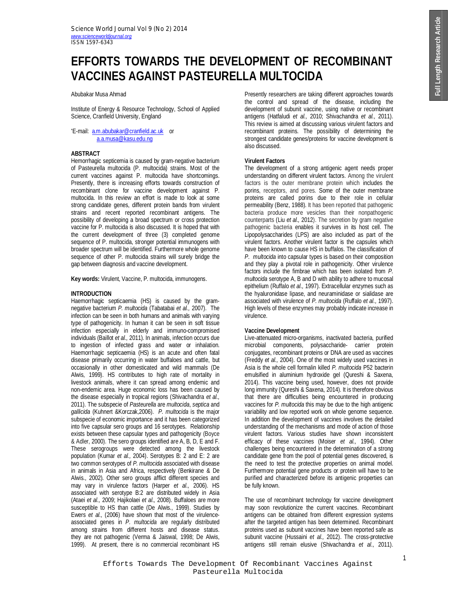# **EFFORTS TOWARDS THE DEVELOPMENT OF RECOMBINANT VACCINES AGAINST PASTEURELLA MULTOCIDA**

Abubakar Musa Ahmad

Institute of Energy & Resource Technology, School of Applied Science, Cranfield University, England.

\*E-mail: a.m.abubakar@cranfield.ac.uk or a.a.musa@kasu.edu.ng

# **ABSTRACT**

Hemorrhagic septicemia is caused by gram-negative bacterium of Pasteurella multocida (P. multocida) strains. Most of the current vaccines against P. multocida have shortcomings. Presently, there is increasing efforts towards construction of recombinant clone for vaccine development against P. multocida. In this review an effort is made to look at some strong candidate genes, different protein bands from virulent strains and recent reported recombinant antigens. The possibility of developing a broad spectrum or cross protection vaccine for P. multocida is also discussed. It is hoped that with the current development of three (3) completed genome sequence of P. multocida, stronger potential immunogens with broader spectrum will be identified. Furthermore whole genome sequence of other P. multocida strains will surely bridge the gap between diagnosis and vaccine development.

**Key words:** Virulent, Vaccine, P. multocida, immunogens.

# **INTRODUCTION**

Haemorrhagic septicaemia (HS) is caused by the gramnegative bacterium *P. multocida* (Tabatabai *et al.,* 2007). The infection can be seen in both humans and animals with varying type of pathogenicity. In human it can be seen in soft tissue infection especially in elderly and immuno-compromised individuals (Baillot *et al.,* 2011). In animals, infection occurs due to ingestion of infected grass and water or inhalation. Haemorrhagic septicaemia (HS) is an acute and often fatal disease primarily occurring in water buffaloes and cattle, but occasionally in other domesticated and wild mammals (De Alwis, 1999). HS contributes to high rate of mortality in livestock animals, where it can spread among endemic and non-endemic area. Huge economic loss has been caused by the disease especially in tropical regions (Shivachandra *et al.,* 2011). The subspecie of *Pasteurella* are *multocida*, *septica* and *gallicida* (Kuhnert &Korczak,2006). *P. multocida* is the major subspecie of economic importance and it has been categorized into five capsular sero groups and 16 serotypes. Relationship exists between these capsular types and pathogenicity (Boyce & Adler, 2000). The sero groups identified are A, B, D, E and F. These serogroups were detected among the livestock population (Kumar *et al.,* 2004). Serotypes B: 2 and E: 2 are two common serotypes of *P. multocida* associated with disease in animals in Asia and Africa, respectively (Benkirane & De Alwis., 2002). Other sero groups afflict different species and may vary in virulence factors (Harper *et al.,* 2006). HS associated with serotype B:2 are distributed widely in Asia (Ataei *et al.,* 2009; Hajikolaei *et al.,* 2008). Buffaloes are more susceptible to HS than cattle (De Alwis., 1999). Studies by Ewers *et al.,* (2006) have shown that most of the virulenceassociated genes in *P. multocida* are regularly distributed among strains from different hosts and disease status. they are not pathogenic (Verma & Jaiswal, 1998; De Alwis, 1999). At present, there is no commercial recombinant HS

Presently researchers are taking different approaches towards the control and spread of the disease, including the development of subunit vaccine, using native or recombinant antigens (Hatfaludi *et al.,* 2010; Shivachandra *et al.,* 2011). This review is aimed at discussing various virulent factors and recombinant proteins. The possibility of determining the strongest candidate genes/proteins for vaccine development is also discussed.

## **Virulent Factors**

The development of a strong antigenic agent needs proper understanding on different virulent factors. Among the virulent factors is the outer membrane protein which includes the porins, receptors, and pores. Some of the outer membrane proteins are called porins due to their role in cellular permeability (Benz, 1988). It has been reported that pathogenic bacteria produce more vesicles than their nonpathogenic counterparts (Liu *et al.,* 2012). The secretion by gram negative pathogenic bacteria enables it survives in its host cell. The Lipopolysaccharides (LPS) are also included as part of the virulent factors. Another virulent factor is the capsules which have been known to cause HS in buffalos. The classification of *P. multocida* into capsular types is based on their composition and they play a pivotal role in pathogenicity. Other virulence factors include the fimbrae which has been isolated from *P. multocida* serotype A, B and D with ability to adhere to mucosal epithelium (Ruffalo *et al.,* 1997). Extracellular enzymes such as the hyaluronidase lipase, and neuraminidase or sialidase are associated with virulence of *P. multocida* (Ruffalo *et al.,* 1997). High levels of these enzymes may probably indicate increase in virulence.

## **Vaccine Development**

Live-attenuated micro-organisms, inactivated bacteria, purified microbial components, polysaccharide- carrier protein conjugates, recombinant proteins or DNA are used as vaccines (Freddy *et al.,* 2004). One of the most widely used vaccines in Asia is the whole cell formalin killed *P. multocida* P52 bacterin emulsified in aluminium hydroxide gel (Qureshi & Saxena, 2014). This vaccine being used, however, does not provide long immunity (Qureshi & Saxena, 2014). It is therefore obvious that there are difficulties being encountered in producing vaccines for *P. multocida* this may be due to the high antigenic variability and low reported work on whole genome sequence. In addition the development of vaccines involves the detailed understanding of the mechanisms and mode of action of those virulent factors. Various studies have shown inconsistent efficacy of these vaccines (Moiser *et al.,* 1994). Other challenges being encountered in the determination of a strong candidate gene from the pool of potential genes discovered, is the need to test the protective properties on animal model. Furthermore potential gene products or protein will have to be purified and characterized before its antigenic properties can be fully known.

The use of recombinant technology for vaccine development may soon revolutionize the current vaccines. Recombinant antigens can be obtained from different expression systems after the targeted antigen has been determined. Recombinant proteins used as subunit vaccines have been reported safe as subunit vaccine (Hussaini *et al.,* 2012). The cross-protective antigens still remain elusive (Shivachandra *et al.,* 2011).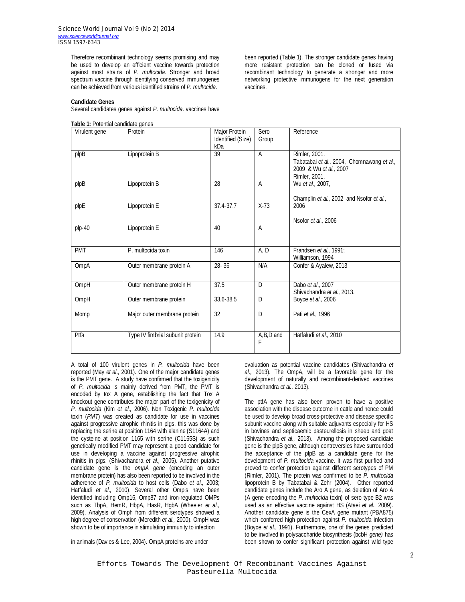Therefore recombinant technology seems promising and may be used to develop an efficient vaccine towards protection against most strains of *P. multocida*. Stronger and broad spectrum vaccine through identifying conserved immunogenes can be achieved from various identified strains of *P. multocida*.

#### **Candidate Genes**

Several candidates genes against *P. multocida*. vaccines have

|  |  | Table 1: Potential candidate genes |  |
|--|--|------------------------------------|--|
|--|--|------------------------------------|--|

been reported (Table 1). The stronger candidate genes having more resistant protection can be cloned or fused via recombinant technology to generate a stronger and more networking protective immunogens for the next generation vaccines.

| Virulent gene          | Protein                          | Major Protein<br>Identified (Size) | Sero<br>Group    | Reference                                                                                              |
|------------------------|----------------------------------|------------------------------------|------------------|--------------------------------------------------------------------------------------------------------|
|                        |                                  | kDa                                |                  |                                                                                                        |
| $p$ <sub>l</sub> $p$ B | Lipoprotein B                    | 39                                 | A                | Rimler, 2001.<br>Tabatabai et al., 2004, Chomnawang et al.,<br>2009 & Wu et al., 2007<br>Rimler, 2001, |
| plpB                   | Lipoprotein B                    | 28                                 | A                | Wu et al., 2007,                                                                                       |
| plpE                   | Lipoprotein E                    | 37.4-37.7                          | $X-73$           | Champlin et al., 2002 and Nsofor et al.,<br>2006                                                       |
| $plp-40$               | Lipoprotein E                    | 40                                 | A                | Nsofor et al., 2006                                                                                    |
| PMT                    | P. multocida toxin               | 146                                | A, D             | Frandsen et al., 1991;<br>Williamson, 1994                                                             |
| OmpA                   | Outer membrane protein A         | 28-36                              | N/A              | Confer & Ayalew, 2013                                                                                  |
| OmpH                   | Outer membrane protein H         | 37.5                               | D                | Dabo et al., 2007<br>Shivachandra et al., 2013.                                                        |
| OmpH                   | Outer membrane protein           | 33.6-38.5                          | D                | Boyce et al., 2006                                                                                     |
| Momp                   | Major outer membrane protein     | 32                                 | D                | Pati et al., 1996                                                                                      |
| Ptfa                   | Type IV fimbrial subunit protein | 14.9                               | A, B, D and<br>F | Hatfaludi et al., 2010                                                                                 |

A total of 100 virulent genes in *P. multocida* have been reported (May *et al.,* 2001). One of the major candidate genes is the PMT gene. A study have confirmed that the toxigenicity of *P. multocida* is mainly derived from PMT, the PMT is encoded by tox A gene, establishing the fact that Tox A knockout gene contributes the major part of the toxigenicity of *P. multocida* (Kim *et al.,* 2006). Non Toxigenic *P. multocida* toxin (*PMT*) was created as candidate for use in vaccines against progressive atrophic rhinitis in pigs, this was done by replacing the serine at position 1164 with alanine (S1164A) and the cysteine at position 1165 with serine (C1165S) as such genetically modified PMT may represent a good candidate for use in developing a vaccine against progressive atrophic rhinitis in pigs. (Shivachandra *et al.,* 2005). Another putative candidate gene is the *ompA gene* (encoding an outer membrane protein) has also been reported to be involved in the adherence of *P. multocida* to host cells (Dabo *et al.,* 2003; Hatfaludi *et al.,* 2010). Several other Omp's have been identified including Omp16, Omp87 and iron-regulated OMPs such as TbpA, HemR, HbpA, HasR, HgbA (Wheeler *et al.,* 2009). Analysis of Omph from different serotypes showed a high degree of conservation (Meredith *et al.,* 2000). OmpH was shown to be of importance in stimulating immunity to infection

evaluation as potential vaccine candidates (Shivachandra *et al.,* 2013). The OmpA, will be a favorable gene for the development of naturally and recombinant-derived vaccines (Shivachandra *et al.,* 2013).

The ptfA gene has also been proven to have a positive association with the disease outcome in cattle and hence could be used to develop broad cross-protective and disease specific subunit vaccine along with suitable adjuvants especially for HS in bovines and septicaemic pasteurellosis in sheep and goat (Shivachandra *et al.,* 2013). Among the proposed candidate gene is the plpB gene, although controversies have surrounded the acceptance of the plpB as a candidate gene for the development of *P. multocida* vaccine. It was first purified and proved to confer protection against different serotypes of PM (Rimler, 2001). The protein was confirmed to be *P. multocida* lipoprotein B by Tabatabai & Zehr (2004). Other reported candidate genes include the Aro A gene, as deletion of Aro A (A gene encoding the *P. multocida* toxin) of sero type B2 was used as an effective vaccine against HS (Ataei *et al.,* 2009). Another candidate gene is the CexA gene mutant (PBA875) which conferred high protection against *P. multocida* infection (Boyce *et al.,* 1991). Furthermore, one of the genes predicted to be involved in polysaccharide biosynthesis (bcbH *gene)* has been shown to confer significant protection against wild type

in animals (Davies & Lee, 2004). OmpA proteins are under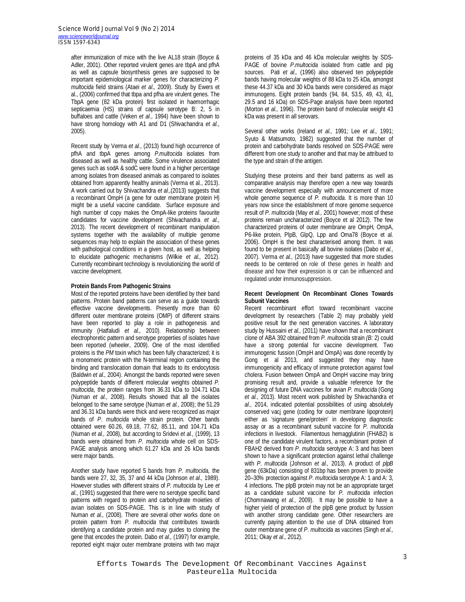after immunization of mice with the live AL18 strain (Boyce & Adler, 2001). Other reported virulent genes are tbpA and pfhA as well as capsule biosynthesis genes are supposed to be important epidemiological marker genes for characterizing *P. multocida* field strains (Ataei *et al.,* 2009). Study by Ewers et al., (2006) confirmed that tbpa and pfha are virulent genes. The TbpA gene (82 kDa protein) first isolated in haemorrhagic septicaemia (HS) strains of capsule serotype B: 2, 5 in buffaloes and cattle (Veken *et al.,* 1994) have been shown to have strong homology with A1 and D1 (Shivachandra *et al.,* 2005).

Recent study by Verma *et al.,* (2013) found high occurrence of pfhA and tbpA genes among *P.multocida* isolates from diseased as well as healthy cattle. Some virulence associated genes such as sodA & sodC were found in a higher percentage among isolates from diseased animals as compared to isolates obtained from apparently healthy animals (Verma et al., 2013). A work carried out by Shivachandra *et al.,*(2013) suggests that a recombinant OmpH (a gene for outer membrane protein H) might be a useful vaccine candidate. Surface exposure and high number of copy makes the OmpA-like proteins favourite candidates for vaccine development (Shivachandra *et al.,* 2013). The recent development of recombinant manipulation systems together with the availability of multiple genome sequences may help to explain the association of these genes with pathological conditions in a given host, as well as helping to elucidate pathogenic mechanisms (Wilkie *et al.,* 2012). Currently recombinant technology is revolutionizing the world of vaccine development.

#### **Protein Bands From Pathogenic Strains**

Most of the reported proteins have been identified by their band patterns. Protein band patterns can serve as a guide towards effective vaccine developments. Presently more than 60 different outer membrane proteins (OMP) of different strains have been reported to play a role in pathogenesis and immunity (Hatfaludi *et al.,* 2010). Relationship between electrophoretic pattern and serotype properties of isolates have been reported (wheeler, 2009). One of the most identified proteins is the *PM* toxin which has been fully characterized; it is a monomeric protein with the N-terminal region containing the binding and translocation domain that leads to its endocytosis (Baldwin *et al.,* 2004). Amongst the bands reported were seven polypeptide bands of different molecular weights obtained *P. multocida*, the protein ranges from 36.31 kDa to 104.71 kDa (Numan *et al.,* 2008). Results showed that all the isolates belonged to the same serotype (Numan *et al.,* 2008); the 51.29 and 36.31 kDa bands were thick and were recognized as major bands of *P. multocida* whole strain protein. Other bands obtained were 60.26, 69.18, 77.62, 85.11, and 104.71 kDa (Numan *et al.,* 2008), but according to Sridevi *et al.,* (1999), 13 bands were obtained from *P. multocida* whole cell on SDS-PAGE analysis among which 61.27 kDa and 26 kDa bands were major bands.

Another study have reported 5 bands from *P. multocida,* the bands were 27, 32, 35, 37 and 44 kDa (Johnson *et al.,* 1989). However studies with different strains of *P. multocida* by Lee *et al.,* (1991) suggested that there were no serotype specific band patterns with regard to protein and carbohydrate moieties of avian isolates on SDS-PAGE. This is in line with study of Numan *et al.,* (2008). There are several other works done on protein pattern from *P. multocida* that contributes towards identifying a candidate protein and may guides to cloning the gene that encodes the protein. Dabo *et al.,* (1997) for example, reported eight major outer membrane proteins with two major

proteins of 35 kDa and 46 kDa molecular weights by SDS-PAGE of bovine *P.multocida* isolated from cattle and pig sources. Pati *et al.,* (1996) also observed ten polypeptide bands having molecular weights of 88 kDa to 25 kDa, amongst these 44.37 kDa and 30 kDa bands were considered as major immunogens. Eight protein bands (94, 84, 53.5, 49, 43, 41, 29.5 and 16 kDa) on SDS-Page analysis have been reported (Morton *et al.,* 1996). The protein band of molecular weight 43 kDa was present in all serovars.

Several other works (Ireland *et al.,* 1991; Lee *et al.,* 1991; Syuto & Matsumoto, 1982) suggested that the number of protein and carbohydrate bands resolved on SDS-PAGE were different from one study to another and that may be attribued to the type and strain of the antigen.

Studying these proteins and their band patterns as well as comparative analysis may therefore open a new way towards vaccine development especially with announcement of more whole genome sequence of *P. multocida*. It is more than 10 years now since the establishment of more genome sequence result of *P. multocida* (May *et al.,* 2001) however; most of these proteins remain uncharacterized (Boyce et al 2012). The few characterized proteins of outer membrane are OmpH, OmpA, P6-like protein, PlpB, GlpQ, Lpp and Oma78 (Boyce et al. 2006). OmpH is the best characterised among them. It was found to be present in basically all bovine isolates (Dabo *et al.,* 2007). Verma *et al.,* (2013) have suggested that more studies needs to be centered on role of these genes in health and disease and how their expression is or can be influenced and regulated under immunosuppression.

#### **Recent Development On Recombinant Clones Towards Subunit Vaccines**

Recent recombinant effort toward recombinant vaccine development by researchers (Table 2) may probably yield positive result for the next generation vaccines. A laboratory study by Hussaini *et al.,* (2011) have shown that a recombinant clone of ABA 392 obtained from *P. multocida* strain *(B:* 2) could have a strong potential for vaccine development. Two immunogenic fussion (OmpH and OmpA) was done recently by Gong et al 2013, and suggested they may have immunogenicity and efficacy of immune protection against fowl cholera. Fusion between OmpA and OmpH vaccine may bring promising result and, provide a valuable reference for the designing of future DNA vaccines for avian *P. multocida* (Gong *et al.,* 2013). Most recent work published by Shivachandra *et al.,* 2014, indicated potential possibilities of using absolutely conserved vacj gene (coding for outer membrane lipoprotein) either as 'signature gene/protein' in developing diagnostic assay or as a recombinant subunit vaccine for *P. multocida*  infections in livestock. Filamentous hemagglutinin (FHAB2) is one of the candidate virulent factors, a recombinant protein of FBAH2 derived from *P. multocida* serotype A: 3 and has been shown to have a significant protection against lethal challenge with *P. multocida* (Johnson *et al.,* 2013). A product of *plpB*  gene (63kDa) consisting of 831bp has been proven to provide 20–30% protection against *P. multocida* serotype A: 1 and A: 3, 4 infections. The plpB protein may not be an appropriate target as a candidate subunit vaccine for *P. multocida* infection (Chomnawang *et al.,* 2009). It may be possible to have a higher yield of protection of the plpB gene product by fussion with another strong candidate gene. Other researchers are currently paying attention to the use of DNA obtained from outer membrane gene of *P. multocida* as vaccines (Singh *et al.,* 2011; Okay *et al.,* 2012).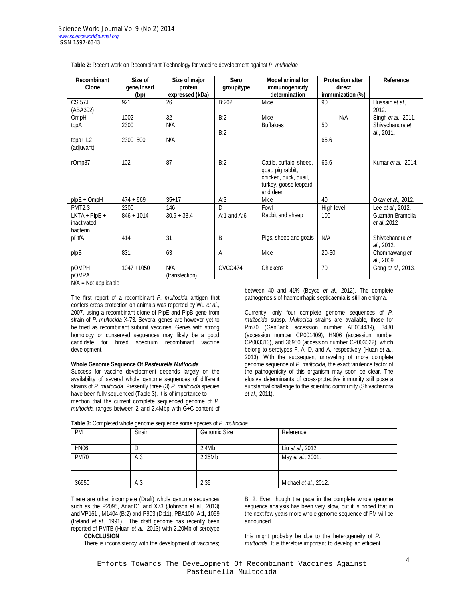| Recombinant<br>Clone                       | Size of<br>gene/Insert<br>(bp) | Size of major<br>protein<br>expressed (kDa) | Sero<br>group/type | <b>Model animal for</b><br>immunogenicity<br>determination                                                 | <b>Protection after</b><br>direct<br>immunization (%) | Reference                       |
|--------------------------------------------|--------------------------------|---------------------------------------------|--------------------|------------------------------------------------------------------------------------------------------------|-------------------------------------------------------|---------------------------------|
| CSI57J                                     | 921                            | 26                                          | B:202              | Mice                                                                                                       | 90                                                    | Hussain et al.,                 |
| (ABA392)                                   |                                |                                             |                    |                                                                                                            |                                                       | 2012.                           |
| OmpH                                       | 1002                           | 32                                          | B:2                | Mice                                                                                                       | N/A                                                   | Singh et al., 2011.             |
| tbpA                                       | 2300                           | N/A                                         | B:2                | <b>Buffaloes</b>                                                                                           | 50                                                    | Shivachandra et<br>al., 2011.   |
| tbpa+IL2<br>(adjuvant)                     | $2300+500$                     | N/A                                         |                    |                                                                                                            | 66.6                                                  |                                 |
| rOmp87                                     | 102                            | 87                                          | B:2                | Cattle, buffalo, sheep,<br>goat, pig rabbit,<br>chicken, duck, quail,<br>turkey, goose leopard<br>and deer | 66.6                                                  | Kumar et al., 2014.             |
| $plpE + OmpH$                              | $474 + 969$                    | $35 + 17$                                   | A:3                | Mice                                                                                                       | 40                                                    | Okay et al., 2012.              |
| <b>PMT2.3</b>                              | 2300                           | 146                                         | D                  | Fowl                                                                                                       | High level                                            | Lee et al., 2012.               |
| $LKTA + PlpE +$<br>inactivated<br>bacterin | $846 + 1014$                   | $30.9 + 38.4$                               | $A:1$ and $A:6$    | Rabbit and sheep                                                                                           | 100                                                   | Guzmán-Brambila<br>et al., 2012 |
| pPtfA                                      | 414                            | 31                                          | B                  | Pigs, sheep and goats                                                                                      | N/A                                                   | Shivachandra et<br>al., 2012.   |
| plpB                                       | 831                            | 63                                          | A                  | Mice                                                                                                       | $20 - 30$                                             | Chomnawang et<br>al., 2009.     |
| pOMPH +<br>pOMPA<br>$NIA$ $Nof$ candicalle | $1047 + 1050$                  | N/A<br>(transfection)                       | CVCC474            | Chickens                                                                                                   | 70                                                    | Gong et al., 2013.              |

#### **Table 2:** Recent work on Recombinant Technology for vaccine development against *P. multocida*

N/A = Not applicable

The first report of a recombinant *P. multocida* antigen that confers cross protection on animals was reported by Wu *et al.,* 2007, using a recombinant clone of PlpE and PlpB gene from strain of *P. multocida* X-73. Several genes are however yet to be tried as recombinant subunit vaccines. Genes with strong homology or conserved sequences may likely be a good candidate for broad spectrum recombinant vaccine development.

#### **Whole Genome Sequence Of** *Pasteurella Multocida*

Success for vaccine development depends largely on the availability of several whole genome sequences of different strains of *P. multocida*. Presently three (3) *P. multocida* species have been fully sequenced (Table 3). It is of importance to mention that the current complete sequenced genome of *P. multocida* ranges between 2 and 2.4Mbp with G+C content of between 40 and 41% (Boyce *et al.,* 2012). The complete pathogenesis of haemorrhagic septicaemia is still an enigma.

Currently, only four complete genome sequences of *P. multocida* subsp. *Multocida* strains are available, those for Pm70 (GenBank accession number AE004439), 3480 (accession number CP001409), HN06 (accession number CP003313), and 36950 (accession number CP003022), which belong to serotypes F, A, D, and A, respectively (Huan *et al.,* 2013). With the subsequent unraveling of more complete genome sequence of *P. multocida*, the exact virulence factor of the pathogenicity of this organism may soon be clear. The elusive determinants of cross-protective immunity still pose a substantial challenge to the scientific community (Shivachandra *et al.,* 2011).

|  | Table 3: Completed whole genome sequence some species of P. multocida |
|--|-----------------------------------------------------------------------|
|--|-----------------------------------------------------------------------|

| <b>PM</b>   | Strain | <b>Genomic Size</b> | Reference             |
|-------------|--------|---------------------|-----------------------|
| <b>HN06</b> | D      | 2.4Mb               | Liu et al., 2012.     |
| <b>PM70</b> | A:3    | 2.25Mb              | May et al., 2001.     |
|             |        |                     |                       |
| 36950       | A:3    | 2.35                | Michael et al., 2012. |

There are other incomplete (Draft) whole genome sequences such as the P2095, AnanD1 and X73 (Johnson et al., 2013) and VP161 , M1404 (B:2) and P903 (D:11), PBA100 A:1, 1059 (Ireland *et al.,* 1991) . The draft genome has recently been reported of PMTB (Huan *et al.,* 2013) with 2.20Mb of serotype **CONCLUSION** 

There is inconsistency with the development of vaccines;

B: 2. Even though the pace in the complete whole genome sequence analysis has been very slow, but it is hoped that in the next few years more whole genome sequence of PM will be announced.

this might probably be due to the heterogeneity of *P. multocida*. It is therefore important to develop an efficient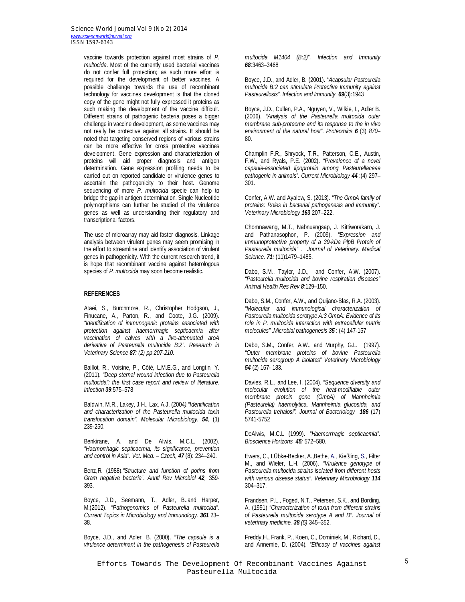*Science World Journal Vol 9 (No 2) 2014 www.scienceworldjournal.org ISSN 1597-6343*

> vaccine towards protection against most strains of *P. multocida*. Most of the currently used bacterial vaccines do not confer full protection; as such more effort is required for the development of better vaccines. A possible challenge towards the use of recombinant technology for vaccines development is that the cloned copy of the gene might not fully expressed it proteins as such making the development of the vaccine difficult. Different strains of pathogenic bacteria poses a bigger challenge in vaccine development, as some vaccines may not really be protective against all strains. It should be noted that targeting conserved regions of various strains can be more effective for cross protective vaccines development. Gene expression and characterization of proteins will aid proper diagnosis and antigen determination. Gene expression profiling needs to be carried out on reported candidate or virulence genes to ascertain the pathogenicity to their host. Genome sequencing of more *P. multocida* specie can help to bridge the gap in antigen determination. Single Nucleotide polymorphisms can further be studied of the virulence genes as well as understanding their regulatory and transcriptional factors.

The use of microarray may aid faster diagnosis. Linkage analysis between virulent genes may seem promising in the effort to streamline and identify association of virulent genes in pathogenicity. With the current research trend, it is hope that recombinant vaccine against heterologous species of *P. multocida* may soon become realistic.

## **REFERENCES**

Ataei, S., Burchmore, R., Christopher Hodgson, J., Finucane, A., Parton, R., and Coote, J.G. (2009). *"Identification of immunogenic proteins associated with protection against haemorrhagic septicaemia after vaccination of calves with a live-attenuated aroA derivative of Pasteurella multocida B:2". Research in Veterinary Science 87: (2) pp 207-210.*

Baillot, R., Voisine, P., Côté, L.M.E.G., and Longtin, Y. (2011). *"Deep sternal wound infection due to Pasteurella multocida": the first case report and review of literature. Infection 39*:575–578

Baldwin, M.R., Lakey, J.H., Lax, A.J. (2004*)."Identification and characterization of the Pasteurella multocida toxin translocation domain". Molecular Microbiology. 54,* (1) 239-250.

Benkirane, A. and De Alwis, M.C.L. (2002). *"Haemorrhagic septicaemia, its significance, prevention and control in Asia". Vet. Med. – Czech, 47* (8): 234–240.

Benz,R. (1988).*"Structure and function of porins from Gram negative bacteria". Anntl Rev Microbiol 42,* 359- 393.

Boyce, J.D., Seemann, T., Adler, B.,and Harper, M.(2012). "*Pathogenomics of Pasteurella multocida". Current Topics in Microbiology and Immunology. 361* 23– 38.

Boyce, J.D., and Adler, B. (2000). "*The capsule is a virulence determinant in the pathogenesis of Pasteurella*  *multocida M1404 (B:2)". Infection and Immunity 68*:3463–3468

Boyce, J.D., and Adler, B. (2001). "*Acapsular Pasteurella multocida B:2 can stimulate Protective Immunity against Pasteurellosis". Infection and Immunity 69*(3):1943

Boyce, J.D., Cullen, P.A., Nguyen, V., Wilkie, I., Adler B. (2006). *"Analysis of the Pasteurella multocida outer membrane sub-proteome and its response to the in vivo environment of the natural host". Proteomics 6* (3) *870*– 80.

Champlin F.R., Shryock, T.R., Patterson, C.E., Austin, F.W., and Ryals, P.E. (2002). *"Prevalence of a novel capsule-associated lipoprotein among Pasteurellaceae pathogenic in animals". Current Microbiology 44* :(4) 297– 301.

Confer, A.W. and Ayalew, S. (2013). *"The OmpA family of proteins: Roles in bacterial pathogenesis and immunity". Veterinary Microbiology 163* 207–222.

Chomnawang, M.T., Nabnuengsap, J. Kittiworakarn, J. and Pathanasophon, P. (2009). *"Expression and Immunoprotective property of a 39-kDa PlpB Protein of Pasteurella multocida" . Journal of Veterinary. Medical Science. 71:* (11)1479–1485.

Dabo, S.M., Taylor, J.D., and Confer, A.W. (2007). *"Pasteurella multocida and bovine respiration diseases" Animal Health Res Rev 8:*129–150.

Dabo, S.M., Confer, A.W., and Quijano-Blas, R.A. (2003). *"Molecular and immunological characterization of Pasteurella multocida serotype A:3 OmpA: Evidence of its role in P. multocida interaction with extracellular matrix molecules" .Microbial pathogenesis 35* : (4) 147-157

Dabo, S.M., Confer, A.W., and Murphy, G.L. (1997). *"Outer membrane proteins of bovine Pasteurella multocida serogroup A isolates" Veterinary Microbiology 54* (2) 167- 183.

Davies, R.L., and Lee, I. (2004). *"Sequence diversity and molecular evolution of the heat-modifiable outer membrane protein gene (OmpA) of Mannheimia (Pasteurella) haemolytica, Mannheimia glucosida, and Pasteurella trehalosi". Journal of Bacteriology 186* (17) 5741-5752

DeAlwis, M.C.L (1999). *"Haemorrhagic septicaemia". Bioscience Horizons 45:* 572–580.

Ewers, C., LÜbke-Becker, A.,Bethe, A., Kießling, S., Filter M., and Wieler, L.H. (2006). *"Virulence genotype of Pasteurella multocida strains isolated from different hosts with various disease status". Veterinary Microbiology 114* 304–317.

Frandsen, P.L., Foged, N.T., Petersen, S.K., and Bording, A. (1991) *"Characterization of toxin from different strains of Pasteurella multocida serotype A and D". Journal of veterinary medicine. 38 (5)* 345–352.

Freddy,H., Frank, P., Koen, C., Dominiek, M., Richard, D., and Annemie, D. (2004). *"Efficacy of vaccines against*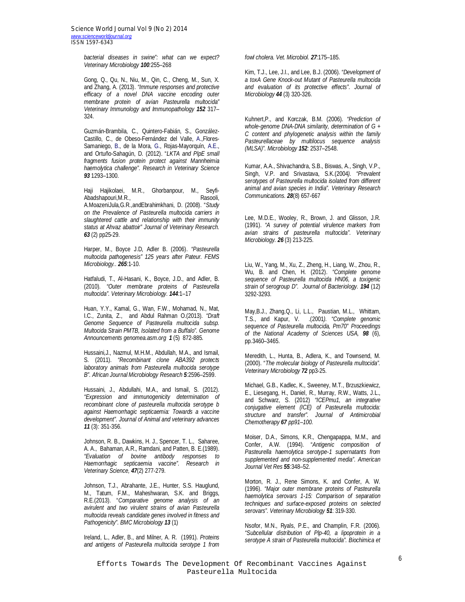*Science World Journal Vol 9 (No 2) 2014 www.scienceworldjournal.org ISSN 1597-6343*

> *bacterial diseases in swine": what can we expect? Veterinary Microbiology 100:*255–268

> Gong, Q., Qu, N., Niu, M., Qin, C., Cheng, M., Sun, X. and Zhang, A. (2013). *"Immune responses and protective efficacy of a novel DNA vaccine encoding outer membrane protein of avian Pasteurella multocida" Veterinary Immunology and Immunopathology 152* 317– 324.

> Guzmán-Brambila, C., Quintero-Fabián, S., González-Castillo, C., de Obeso-Fernández del Valle, A.,Flores-Samaniego, B., de la Mora, G., Rojas-Mayorquín, A.E., and Ortuño-Sahagún, D. (2012). "*LKTA and PlpE small fragments fusion protein protect against Mannheimia haemolytica challenge". Research in Veterinary Science 93* 1293–1300.

> Haji Hajikolaei, M.R., Ghorbanpour, M., Seyfi-Abadshapouri, M.R., Rasooli, A.MoazeniJula,G.R.,andEbrahimkhani, D. (2008). "*Study on the Prevalence of Pasteurella multocida carriers in slaughtered cattle and relationship with their immunity status at Ahvaz abattoir" Journal of Veterinary Research. 63* (2) pp25-29.

> Harper, M., Boyce J.D, Adler B. (2006). *"Pasteurella multocida pathogenesis" 125 years after Pateur. FEMS Microbiology.. 265*:1-10.

> Hatfaludi, T., Al-Hasani, K., Boyce, J.D., and Adler, B. (2010). *"Outer membrane proteins of Pasteurella multocida". Veterinary Microbiology. 144:*1–17

> Huan, Y.Y., Kamal, G., Wan, F.W., Mohamad, N., Mat, I.C., Zunita, Z., and Abdul Rahman O.(2013). *"Draft Genome Sequence of Pasteurella multocida subsp. Multocida Strain PMTB, Isolated from a Buffalo". Genome Announcements genomea.asm.org 1* (5) 872-885.

> Hussaini,J., Nazmul, M.H.M., Abdullah, M.A., and Ismail, S. (2011). *"Recombinant clone ABA392 protects laboratory animals from Pasteurella multocida serotype B". African Journal Microbiology Research 5:*2596–2599.

> Hussaini, J., Abdullahi, M.A., and Ismail, S. (2012). *"Expression and immunogenicity determination of recombinant clone of pasteurella multocida serotype b against Haemorrhagic septicaemia: Towards a vaccine development". Journal of Animal and veterinary advances 11* (3): 351-356.

> Johnson, R. B., Dawkins, H. J., Spencer, T. L., Saharee, A. A., Bahaman, A.R., Ramdani, and Patten, B. E.(1989). *"Evaluation of bovine antibody responses to Haemorrhagic septicaemia vaccine". Research in Veterinary Science, 47*(2) 277-279.

> Johnson, T.J., Abrahante, J.E., Hunter, S.S. Hauglund, M., Tatum, F.M., Maheshwaran, S.K. and Briggs, R.E.(2013). "*Comparative genome analysis of an avirulent and two virulent strains of avian Pasteurella multocida reveals candidate genes involved in fitness and Pathogenicity". BMC Microbiology 13* (1)

> Ireland, L., Adler, B., and Milner, A. R. (1991). *Proteins and antigens of Pasteurella multocida serotype 1 from*

*fowl cholera. Vet. Microbiol. 27:*175–185.

Kim, T.J., Lee, J.I., and Lee, B.J. (2006). *"Development of a toxA Gene Knock-out Mutant of Pasteurella multocida and evaluation of its protective effects". Journal of Microbiology 44* (3) 320-326.

Kuhnert,P., and Korczak, B.M. (2006). *"Prediction of whole-genome DNA-DNA similarity, determination of G + C content and phylogenetic analysis within the family Pasteurellaceae by multilocus sequence analysis (MLSA)". Microbiology 152:* 2537–2548.

Kumar, A.A., Shivachandra, S.B., Biswas, A., Singh, V.P., Singh, V.P. and Srivastava, S.K.(2004*). "Prevalent serotypes of Pasteurella multocida isolated from different animal and avian species in India". Veterinary Research Communications. 28*(8) 657-667

Lee, M.D.E., Wooley, R., Brown, J. and Glisson, J.R. (1991). *"A survey of potential virulence markers from avian strains of pasteurella multocida". Veterinary Microbiology. 26* (3) 213-225.

Liu, W., Yang, M., Xu, Z., Zheng, H., Liang, W., Zhou, R., Wu, B. and Chen, H. (2012). *"Complete genome sequence of Pasteurella multocida HN06, a toxigenic strain of serogroup D". Journal of Bacteriology. 194* (12) 3292-3293.

May,B.J., Zhang,Q., Li, L.L., Paustian, M.L., Whittam, T.S., and Kapur, V. .(2001*). "Complete genomic sequence of Pasteurella multocida, Pm70" Proceedings of the National Academy of Sciences USA, 98* (6), pp.3460–3465.

Meredith, L., Hunta, B., Adlera, K., and Townsend, M. (2000). "*The molecular biology of Pasteurella multocida". Veterinary Microbiology 72* pp3-25.

Michael, G.B., Kadlec, K., Sweeney, M.T., Brzuszkiewicz, E., Liesegang, H., Daniel, R., Murray, R.W., Watts, J.L., and Schwarz, S. (2012) *"ICEPmu1, an integrative conjugative element (ICE) of Pasteurella multocida: structure and transfer". Journal of Antimicrobial Chemotherapy 67 pp91–100.*

Moiser, D.A., Simons, K.R., Chengapappa, M.M., and Confer, A.W. (1994). "*Antigenic composition of Pasteurella haemolytica serotype-1 supernatants from supplemented and non-supplemented media". American Journal Vet Res 55:*348–52.

Morton, R. J., Rene Simons, K. and Confer, A. W. (1996). *"Major outer membrane proteins of Pasteurella haemolytica serovars 1-15: Comparison of separation techniques and surface-exposed proteins on selected serovars". Veterinary Microbiology 51*: 319-330.

Nsofor, M.N., Ryals, P.E., and Champlin, F.R. (2006). *"Subcellular distribution of Plp-40, a lipoprotein in a serotype A strain of Pasteurella multocida". Biochimica et*